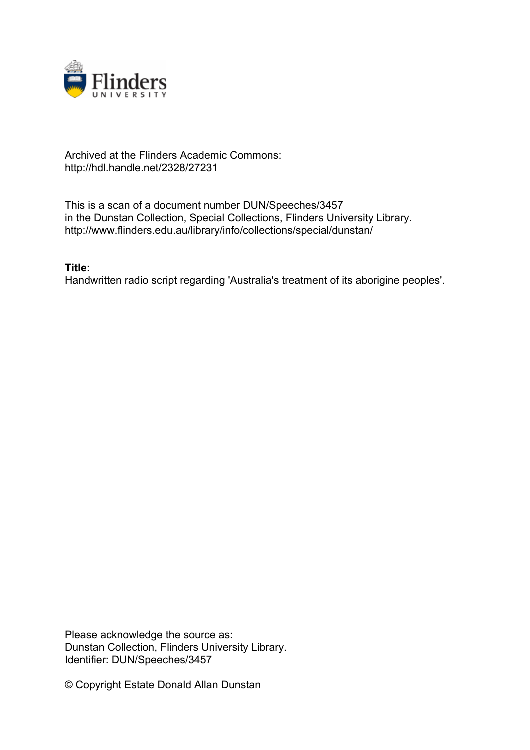

## Archived at the Flinders Academic Commons: http://hdl.handle.net/2328/27231

This is a scan of a document number DUN/Speeches/3457 in the Dunstan Collection, Special Collections, Flinders University Library. http://www.flinders.edu.au/library/info/collections/special/dunstan/

**Title:**

Handwritten radio script regarding 'Australia's treatment of its aborigine peoples'.

Please acknowledge the source as: Dunstan Collection, Flinders University Library. Identifier: DUN/Speeches/3457

© Copyright Estate Donald Allan Dunstan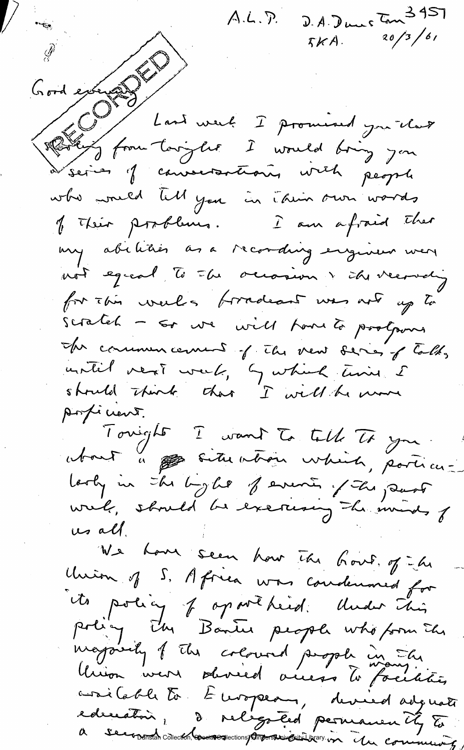D.A. Dunc Ton 3951<br> $5KA$ . 20/3/61 A.L.P. Gordenburg<br>Cordenburg<br>Robert from toriglie I would bring you à series of conventioning with people who would lill you in Their own words of Their possiblems. I am afraid ther my abitities as a recording engineer were not egreal to the occasion & the verneting for this weeks fortadeant was not up to scratch - so une voiet toure to protours In communicaning of the new series of talks until next week, by which time I struld think that I will be more Angéneur. Touight I want to till To you. about à particularie which, porticulooky in the byle of events of the part wrel, should be exercise the ininds of us all. We have seen how the hout of he Union of S. Africa was condenned for its policy of op we heid. Under This<br>policy The Bantu people who form The mayority of the coloured propole in the Union were served auess to facilities avoit Cable to European, devied adguati edeceatoir, de religated permanently to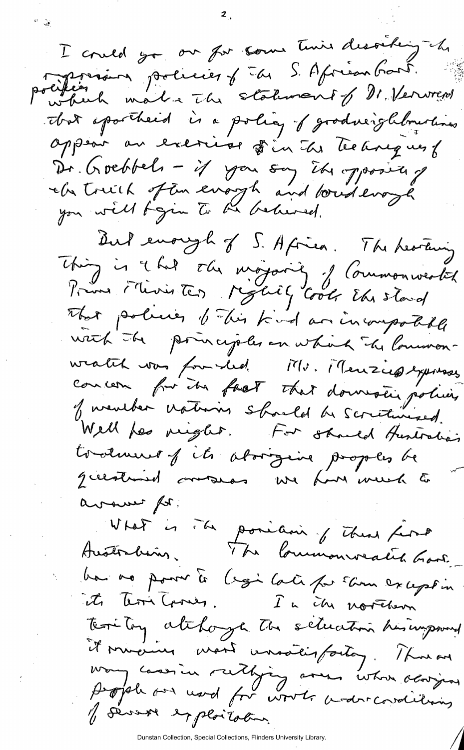I could go our for some time desoeking che politien politier of the S. African Gard.<br>Partien mal a The statement of Dr. Verwrered that apartheed is a policy of goodneighbourhous oppear au exercise fin des techniques f Dr. Goebbels - if you say it oppositely che touth of the everyth and bounderoye But enough of 5. Africa. The heating<br>Thing is it hat the mogarity of Commonwealth That policies of This kind an incompotable with the poinciples on which the lowmon-<br>weaten was founded it's. Menziephysisses concern for the fact that downsting policy of weather nations should be scritinized. Well fes right. For should theritalian questioned overseas we have week to avaint for. What is The position of These first ba no pour te legi lati pa Eine except in territory atchage to setuation his improved it mineures mont unoveisfactor. Thus on way cansin ruthing are whom adapped y severe exploitation.

Dunstan Collection, Special Collections, Flinders University Library.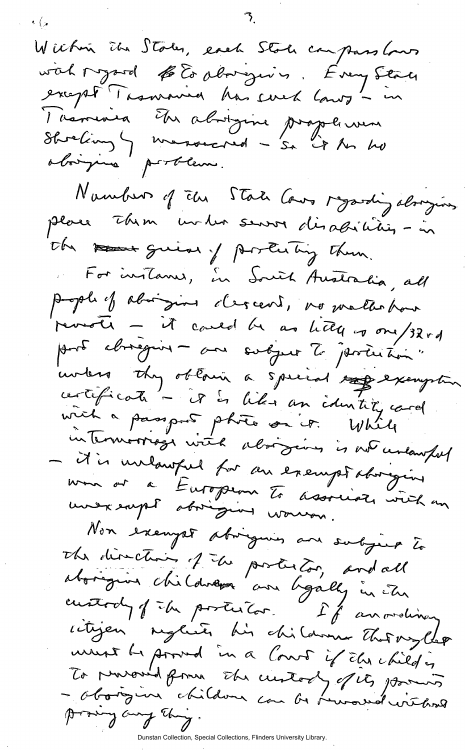$W$  ichen John, each Stock compass lows with regard to Es aborgers. Every State except Taxmania has sved lanz - in Taxouira Etre abigure proplement oborgina portern. Nambur of the State Cows regarding alonging place Them under server disadicitiens-in the reserve guide of posterting them. For instance, in South Australia, all people of aborgine clercent, no matter han parote - it could be as letter of one/32rd intérieur they obtain a special top exemption intermoorieze with alonging is not unlawful - it is unlawful for an exemptatorique mon or a Europeon To associate viel en Non exempt abiguin ans subject to The direction of the poster too, and all aborigin childress and ligally in The custody of the posterior. If anordina ritigen nyliste his children That mylles To prevoud from the custody of its formers<br>- Oborgine children can be heroend without this how hoved

Flinders University Library